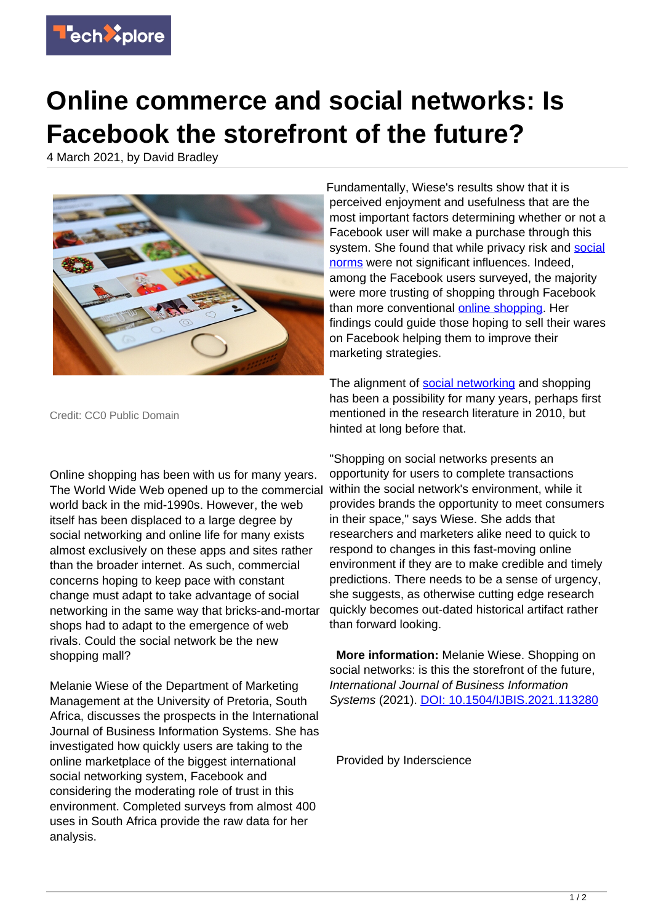

## **Online commerce and social networks: Is Facebook the storefront of the future?**

4 March 2021, by David Bradley



Credit: CC0 Public Domain

Online shopping has been with us for many years. The World Wide Web opened up to the commercial world back in the mid-1990s. However, the web itself has been displaced to a large degree by social networking and online life for many exists almost exclusively on these apps and sites rather than the broader internet. As such, commercial concerns hoping to keep pace with constant change must adapt to take advantage of social networking in the same way that bricks-and-mortar shops had to adapt to the emergence of web rivals. Could the social network be the new shopping mall?

Melanie Wiese of the Department of Marketing Management at the University of Pretoria, South Africa, discusses the prospects in the International Journal of Business Information Systems. She has investigated how quickly users are taking to the online marketplace of the biggest international social networking system, Facebook and considering the moderating role of trust in this environment. Completed surveys from almost 400 uses in South Africa provide the raw data for her analysis.

Fundamentally, Wiese's results show that it is perceived enjoyment and usefulness that are the most important factors determining whether or not a Facebook user will make a purchase through this system. She found that while privacy risk and [social](https://techxplore.com/tags/social+norms/) [norms](https://techxplore.com/tags/social+norms/) were not significant influences. Indeed, among the Facebook users surveyed, the majority were more trusting of shopping through Facebook than more conventional [online shopping.](https://techxplore.com/tags/online+shopping/) Her findings could guide those hoping to sell their wares on Facebook helping them to improve their marketing strategies.

The alignment of [social networking](https://techxplore.com/tags/social+networking/) and shopping has been a possibility for many years, perhaps first mentioned in the research literature in 2010, but hinted at long before that.

"Shopping on social networks presents an opportunity for users to complete transactions within the social network's environment, while it provides brands the opportunity to meet consumers in their space," says Wiese. She adds that researchers and marketers alike need to quick to respond to changes in this fast-moving online environment if they are to make credible and timely predictions. There needs to be a sense of urgency, she suggests, as otherwise cutting edge research quickly becomes out-dated historical artifact rather than forward looking.

 **More information:** Melanie Wiese. Shopping on social networks: is this the storefront of the future, International Journal of Business Information Systems (2021). [DOI: 10.1504/IJBIS.2021.113280](http://dx.doi.org/10.1504/IJBIS.2021.113280)

Provided by Inderscience